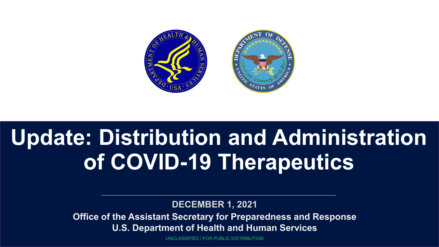

# **Update: Distribution and Administration of COVID-19 Therapeutics**

**DECEMBER 1, 2021**

**Office of the Assistant Secretary for Preparedness and Response U.S. Department of Health and Human Services**

UNCLASSIFIED / FOR PUBLIC DISTRIBUTION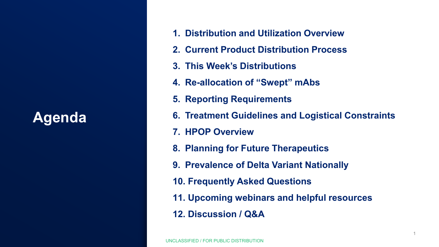## **Agenda**

- **1. Distribution and Utilization Overview**
- **2. Current Product Distribution Process**
- **3. This Week's Distributions**
- **4. Re-allocation of "Swept" mAbs**
- **5. Reporting Requirements**
- **6. Treatment Guidelines and Logistical Constraints**
- **7. HPOP Overview**
- **8. Planning for Future Therapeutics**
- **9. Prevalence of Delta Variant Nationally**
- **10. Frequently Asked Questions**
- **11. Upcoming webinars and helpful resources**
- **12. Discussion / Q&A**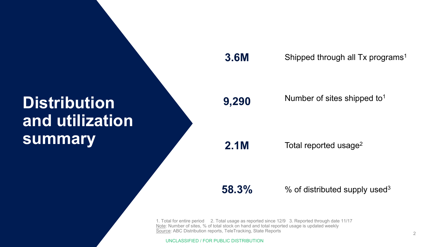# **Distribution and utilization summary**

#### **3.6M**

Shipped through all Tx programs<sup>1</sup>

## **9,290**

Number of sites shipped to1

**2.1M**

Total reported usage<sup>2</sup>

**58.3%**

 $%$  of distributed supply used<sup>3</sup>

1. Total for entire period 2. Total usage as reported since 12/9 3. Reported through date 11/17 Note: Number of sites, % of total stock on hand and total reported usage is updated weekly Source: ABC Distribution reports, TeleTracking, State Reports

UNCLASSIFIED / FOR PUBLIC DISTRIBUTION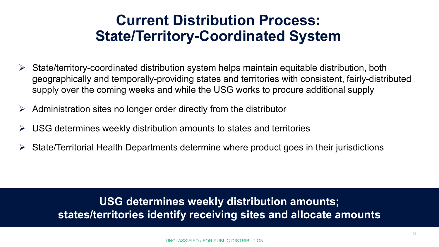## **Current Distribution Process: State/Territory-Coordinated System**

- $\triangleright$  State/territory-coordinated distribution system helps maintain equitable distribution, both geographically and temporally-providing states and territories with consistent, fairly-distributed supply over the coming weeks and while the USG works to procure additional supply
- $\triangleright$  Administration sites no longer order directly from the distributor
- $\triangleright$  USG determines weekly distribution amounts to states and territories
- $\triangleright$  State/Territorial Health Departments determine where product goes in their jurisdictions

**USG determines weekly distribution amounts; states/territories identify receiving sites and allocate amounts**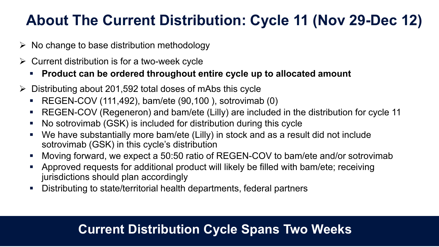# **About The Current Distribution: Cycle 11 (Nov 29-Dec 12)**

- $\triangleright$  No change to base distribution methodology
- $\triangleright$  Current distribution is for a two-week cycle
	- **Product can be ordered throughout entire cycle up to allocated amount**
- $\triangleright$  Distributing about 201,592 total doses of mAbs this cycle
	- REGEN-COV (111,492), bam/ete (90,100), sotrovimab (0)
	- REGEN-COV (Regeneron) and bam/ete (Lilly) are included in the distribution for cycle 11
	- No sotrovimab (GSK) is included for distribution during this cycle
	- We have substantially more bam/ete (Lilly) in stock and as a result did not include sotrovimab (GSK) in this cycle's distribution
	- Moving forward, we expect a 50:50 ratio of REGEN-COV to bam/ete and/or sotrovimab
	- Approved requests for additional product will likely be filled with bam/ete; receiving jurisdictions should plan accordingly
	- Distributing to state/territorial health departments, federal partners

## **Current Distribution Cycle Spans Two Weeks**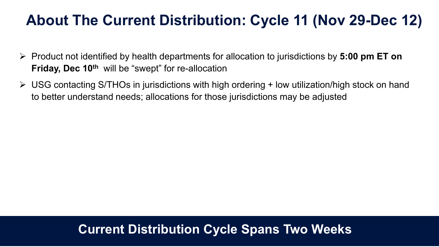## **About The Current Distribution: Cycle 11 (Nov 29-Dec 12)**

- Product not identified by health departments for allocation to jurisdictions by **5:00 pm ET on Friday, Dec 10<sup>th</sup>** will be "swept" for re-allocation
- $\triangleright$  USG contacting S/THOs in jurisdictions with high ordering + low utilization/high stock on hand to better understand needs; allocations for those jurisdictions may be adjusted

## **Current Distribution Cycle Spans Two Weeks**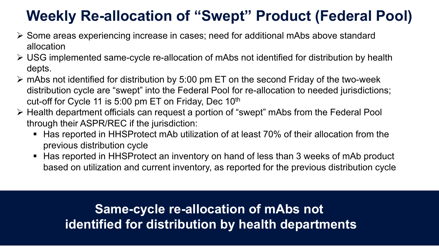# **Weekly Re-allocation of "Swept" Product (Federal Pool)**

- Some areas experiencing increase in cases; need for additional mAbs above standard allocation
- USG implemented same-cycle re-allocation of mAbs not identified for distribution by health depts.
- $\triangleright$  mAbs not identified for distribution by 5:00 pm ET on the second Friday of the two-week distribution cycle are "swept" into the Federal Pool for re-allocation to needed jurisdictions; cut-off for Cycle 11 is 5:00 pm ET on Friday, Dec 10<sup>th</sup>
- Health department officials can request a portion of "swept" mAbs from the Federal Pool through their ASPR/REC if the jurisdiction:
	- Has reported in HHSProtect mAb utilization of at least 70% of their allocation from the previous distribution cycle
	- Has reported in HHSProtect an inventory on hand of less than 3 weeks of mAb product based on utilization and current inventory, as reported for the previous distribution cycle

**Same-cycle re-allocation of mAbs not identified for distribution by health departments**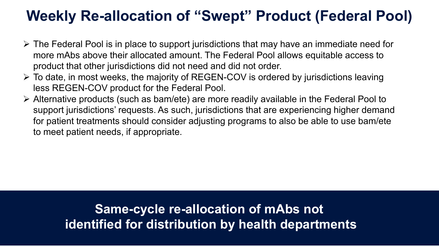## **Weekly Re-allocation of "Swept" Product (Federal Pool)**

- $\triangleright$  The Federal Pool is in place to support jurisdictions that may have an immediate need for more mAbs above their allocated amount. The Federal Pool allows equitable access to product that other jurisdictions did not need and did not order.
- To date, in most weeks, the majority of REGEN-COV is ordered by jurisdictions leaving less REGEN-COV product for the Federal Pool.
- Alternative products (such as bam/ete) are more readily available in the Federal Pool to support jurisdictions' requests. As such, jurisdictions that are experiencing higher demand for patient treatments should consider adjusting programs to also be able to use bam/ete to meet patient needs, if appropriate.

## **Same-cycle re-allocation of mAbs not identified for distribution by health departments**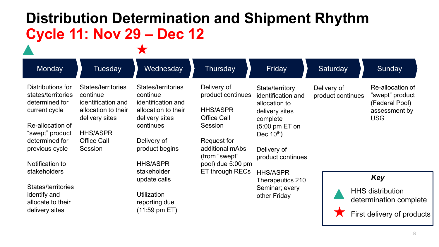# **Distribution Determination and Shipment Rhythm Cycle 11: Nov 29 – Dec 12**

| Monday                                                                                                                                                                                   | <b>Tuesday</b>                                                                                                                                    | Wednesday                                                                                                                                                                     | Thursday                                                                                                                                                                               | Friday                                                                                                                                                                   | Saturday                         | Sunday                                                                                 |
|------------------------------------------------------------------------------------------------------------------------------------------------------------------------------------------|---------------------------------------------------------------------------------------------------------------------------------------------------|-------------------------------------------------------------------------------------------------------------------------------------------------------------------------------|----------------------------------------------------------------------------------------------------------------------------------------------------------------------------------------|--------------------------------------------------------------------------------------------------------------------------------------------------------------------------|----------------------------------|----------------------------------------------------------------------------------------|
| Distributions for<br>states/territories<br>determined for<br>current cycle<br>Re-allocation of<br>"swept" product<br>determined for<br>previous cycle<br>Notification to<br>stakeholders | States/territories<br>continue<br>identification and<br>allocation to their<br>delivery sites<br><b>HHS/ASPR</b><br><b>Office Call</b><br>Session | States/territories<br>continue<br>identification and<br>allocation to their<br>delivery sites<br>continues<br>Delivery of<br>product begins<br><b>HHS/ASPR</b><br>stakeholder | Delivery of<br>product continues<br><b>HHS/ASPR</b><br><b>Office Call</b><br><b>Session</b><br>Request for<br>additional mAbs<br>(from "swept"<br>pool) due 5:00 pm<br>ET through RECs | State/territory<br>identification and<br>allocation to<br>delivery sites<br>complete<br>$(5:00 \text{ pm ET on})$<br>Dec $10^{th}$ )<br>Delivery of<br>product continues | Delivery of<br>product continues | Re-allocation of<br>"swept" product<br>(Federal Pool)<br>assessment by<br><b>USG</b>   |
| States/territories<br>identify and<br>allocate to their<br>delivery sites                                                                                                                |                                                                                                                                                   | update calls<br><b>Utilization</b><br>reporting due<br>$(11:59 \text{ pm ET})$                                                                                                |                                                                                                                                                                                        | <b>HHS/ASPR</b><br>Therapeutics 210<br>Seminar; every<br>other Friday                                                                                                    |                                  | Key<br><b>HHS distribution</b><br>determination complete<br>First delivery of products |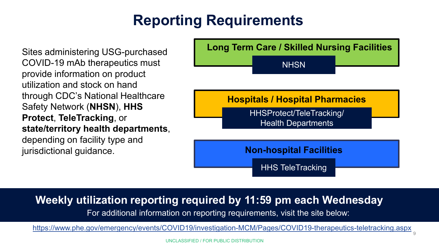# **Reporting Requirements**

Sites administering USG-purchased COVID-19 mAb therapeutics must provide information on product utilization and stock on hand through CDC's National Healthcare Safety Network (**NHSN**), **HHS Protect**, **TeleTracking**, or **state/territory health departments**, depending on facility type and jurisdictional guidance.



## **Weekly utilization reporting required by 11:59 pm each Wednesday**

For additional information on reporting requirements, visit the site below:

<https://www.phe.gov/emergency/events/COVID19/investigation-MCM/Pages/COVID19-therapeutics-teletracking.aspx>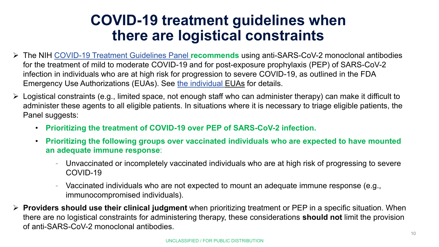## **COVID-19 treatment guidelines when there are logistical constraints**

- The NIH [COVID-19 Treatment Guidelines Panel](https://www.covid19treatmentguidelines.nih.gov/therapies/statement-on-the-prioritization-of-anti-sars-cov-2-monoclonal-antibodies/) **recommends** using anti-SARS-CoV-2 monoclonal antibodies for the treatment of mild to moderate COVID-19 and for post-exposure prophylaxis (PEP) of SARS-CoV-2 infection in individuals who are at high risk for progression to severe COVID-19, as outlined in the FDA Emergency Use Authorizations (EUAs). See [the individual EUAs](https://protect-us.mimecast.com/s/dtIVCQWOVZtkRKqyjHP-ePZ) for details.
- Logistical constraints (e.g., limited space, not enough staff who can administer therapy) can make it difficult to administer these agents to all eligible patients. In situations where it is necessary to triage eligible patients, the Panel suggests:
	- **Prioritizing the treatment of COVID-19 over PEP of SARS-CoV-2 infection.**
	- **Prioritizing the following groups over vaccinated individuals who are expected to have mounted an adequate immune response**:
		- Unvaccinated or incompletely vaccinated individuals who are at high risk of progressing to severe COVID-19
		- Vaccinated individuals who are not expected to mount an adequate immune response (e.g., immunocompromised individuals).
- **Providers should use their clinical judgment** when prioritizing treatment or PEP in a specific situation. When there are no logistical constraints for administering therapy, these considerations **should not** limit the provision of anti-SARS-CoV-2 monoclonal antibodies.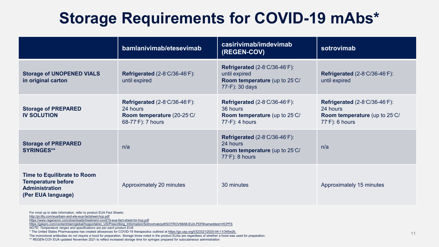# **Storage Requirements for COVID-19 mAbs\***

|                                                                                                         | bamlanivimab/etesevimab                                                                                | casirivimab/imdevimab<br><b>(REGEN-COV)</b>                                                                             | sotrovimab                                                                                                              |
|---------------------------------------------------------------------------------------------------------|--------------------------------------------------------------------------------------------------------|-------------------------------------------------------------------------------------------------------------------------|-------------------------------------------------------------------------------------------------------------------------|
| <b>Storage of UNOPENED VIALS</b><br>in original carton                                                  | Refrigerated $(2-8°C/36-46°C)$ :<br>until expired                                                      | <b>Refrigerated</b> $(2-8°C/36-46°C)$ :<br>until expired<br>Room temperature (up to 25°C/<br>77∘F): 30 days             | Refrigerated $(2-8°C/36-46°C)$ :<br>until expired                                                                       |
| <b>Storage of PREPARED</b><br><b>IV SOLUTION</b>                                                        | <b>Refrigerated</b> $(2-8°C/36-46°C)$ :<br>24 hours<br>Room temperature (20-25°C/<br>68-77°F): 7 hours | Refrigerated $(2-8°C/36-46°C)$ :<br>36 hours<br><b>Room temperature</b> (up to 25°C/<br>$77 \cdot F$ : 4 hours          | <b>Refrigerated</b> $(2-8°C/36-46°C)$ :<br>24 hours<br><b>Room temperature</b> (up to 25°C/<br>$77^{\circ}$ F): 6 hours |
| <b>Storage of PREPARED</b><br><b>SYRINGES**</b>                                                         | n/a                                                                                                    | <b>Refrigerated</b> $(2-8°C/36-46°C)$ :<br>24 hours<br><b>Room temperature</b> (up to 25°C/<br>$77^{\circ}$ F): 8 hours | n/a                                                                                                                     |
| Time to Equilibrate to Room<br><b>Temperature before</b><br><b>Administration</b><br>(Per EUA language) | Approximately 20 minutes                                                                               | 30 minutes                                                                                                              | Approximately 15 minutes                                                                                                |

For most up to date information, refer to product EUA Fact Sheets:

<http://pi.lilly.com/eua/bam-and-ete-eua-factsheet-hcp.pdf>

<https://www.regeneron.com/downloads/treatment-covid19-eua-fact-sheet-for-hcp.pdf>

[https://gskpro.com/content/dam/global/hcpportal/en\\_US/Prescribing\\_Information/Sotrovimab/pdf/SOTROVIMAB-EUA.PDF#nameddest=HCPFS](https://gskpro.com/content/dam/global/hcpportal/en_US/Prescribing_Information/Sotrovimab/pdf/SOTROVIMAB-EUA.PDF#nameddest=HCPFS)

*NOTE: Temperature ranges and specifications are per each product EUA*

\* The United States Pharmacopeia has created allowances for COVID-19 therapeutics outlined at [https://go.usp.org/l/323321/2020-04-11/345w2b.](https://go.usp.org/l/323321/2020-04-11/345w2b)

The monoclonal antibodies do not require a hood for preparation. Storage times noted in the product EUAs are regardless of whether a hood was used for preparation.

\*\* REGEN-COV EUA updated November 2021 to reflect increased storage time for syringes prepared for subcutaneous administration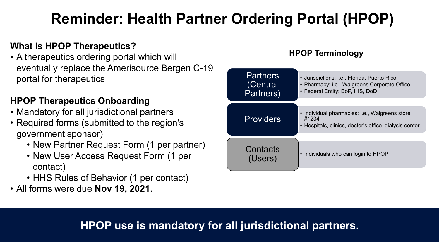# **Reminder: Health Partner Ordering Portal (HPOP)**

## **What is HPOP Therapeutics?**

• A therapeutics ordering portal which will eventually replace the Amerisource Bergen C-19 portal for therapeutics

### **HPOP Therapeutics Onboarding**

- Mandatory for all jurisdictional partners
- Required forms (submitted to the region's government sponsor)
	- New Partner Request Form (1 per partner)
	- New User Access Request Form (1 per contact)
	- HHS Rules of Behavior (1 per contact)
- All forms were due **Nov 19, 2021.**

### **HPOP Terminology**



## **HPOP use is mandatory for all jurisdictional partners.**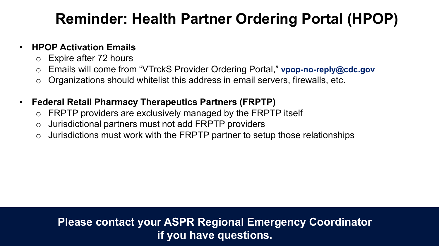# **Reminder: Health Partner Ordering Portal (HPOP)**

## • **HPOP Activation Emails**

- o Expire after 72 hours
- o Emails will come from "VTrckS Provider Ordering Portal," **vpop-no-reply@cdc.gov**
- $\circ$  Organizations should whitelist this address in email servers, firewalls, etc.

## • **Federal Retail Pharmacy Therapeutics Partners (FRPTP)**

- $\circ$  FRPTP providers are exclusively managed by the FRPTP itself
- o Jurisdictional partners must not add FRPTP providers
- $\circ$  Jurisdictions must work with the FRPTP partner to setup those relationships

## **Please contact your ASPR Regional Emergency Coordinator if you have questions.**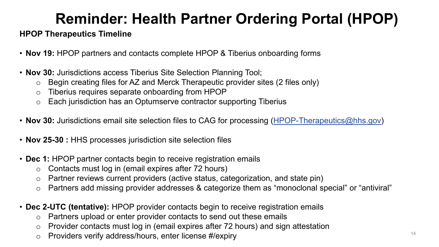# **Reminder: Health Partner Ordering Portal (HPOP)**

#### **HPOP Therapeutics Timeline**

- **Nov 19:** HPOP partners and contacts complete HPOP & Tiberius onboarding forms
- **Nov 30:** Jurisdictions access Tiberius Site Selection Planning Tool;
	- o Begin creating files for AZ and Merck Therapeutic provider sites (2 files only)
	- o Tiberius requires separate onboarding from HPOP
	- o Each jurisdiction has an Optumserve contractor supporting Tiberius
- **Nov 30:** Jurisdictions email site selection files to CAG for processing ([HPOP-Therapeutics@hhs.gov\)](mailto:HPOP-Therapeutics@hhs.gov)
- **Nov 25-30 :** HHS processes jurisdiction site selection files
- **Dec 1:** HPOP partner contacts begin to receive registration emails
	- o Contacts must log in (email expires after 72 hours)
	- o Partner reviews current providers (active status, categorization, and state pin)
	- o Partners add missing provider addresses & categorize them as "monoclonal special" or "antiviral"
- **Dec 2-UTC (tentative):** HPOP provider contacts begin to receive registration emails
	- o Partners upload or enter provider contacts to send out these emails
	- o Provider contacts must log in (email expires after 72 hours) and sign attestation
	- o Providers verify address/hours, enter license #/expiry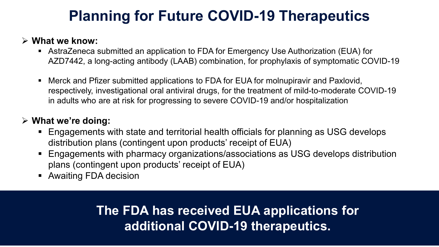# **Planning for Future COVID-19 Therapeutics**

#### **What we know:**

- AstraZeneca submitted an application to FDA for Emergency Use Authorization (EUA) for AZD7442, a long-acting antibody (LAAB) combination, for prophylaxis of symptomatic COVID-19
- Merck and Pfizer submitted applications to FDA for EUA for molnupiravir and Paxlovid, respectively, investigational oral antiviral drugs, for the treatment of mild-to-moderate COVID-19 in adults who are at risk for progressing to severe COVID-19 and/or hospitalization

## **What we're doing:**

- Engagements with state and territorial health officials for planning as USG develops distribution plans (contingent upon products' receipt of EUA)
- Engagements with pharmacy organizations/associations as USG develops distribution plans (contingent upon products' receipt of EUA)
- **Awaiting FDA decision**

## **The FDA has received EUA applications for additional COVID-19 therapeutics.**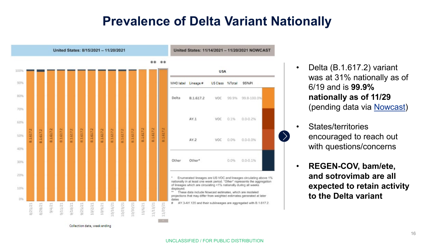## **Prevalence of Delta Variant Nationally**



- Delta (B.1.617.2) variant was at 31% nationally as of 6/19 and is **99.9% nationally as of 11/29**  (pending data via [Nowcast](https://covid.cdc.gov/covid-data-tracker/?CDC_AA_refVal=https%3A%2F%2Fwww.cdc.gov%2Fcoronavirus%2F2019-ncov%2Fcases-updates%2Fvariant-proportions.html#variant-proportions))
- States/territories encouraged to reach out with questions/concerns
- **REGEN-COV, bam/ete, and sotrovimab are all expected to retain activity to the Delta variant**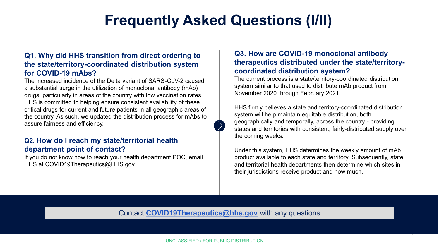## **Frequently Asked Questions (I/II)**

#### **Q1. Why did HHS transition from direct ordering to the state/territory-coordinated distribution system for COVID-19 mAbs?**

The increased incidence of the Delta variant of SARS-CoV-2 caused a substantial surge in the utilization of monoclonal antibody (mAb) drugs, particularly in areas of the country with low vaccination rates. HHS is committed to helping ensure consistent availability of these critical drugs for current and future patients in all geographic areas of the country. As such, we updated the distribution process for mAbs to assure fairness and efficiency.

#### **Q2. How do I reach my state/territorial health department point of contact?**

If you do not know how to reach your health department POC, email HHS at COVID19Therapeutics@HHS.gov.

#### **Q3. How are COVID-19 monoclonal antibody therapeutics distributed under the state/territorycoordinated distribution system?**

The current process is a state/territory-coordinated distribution system similar to that used to distribute mAb product from November 2020 through February 2021.

HHS firmly believes a state and territory-coordinated distribution system will help maintain equitable distribution, both geographically and temporally, across the country - providing states and territories with consistent, fairly-distributed supply over the coming weeks.

Under this system, HHS determines the weekly amount of mAb product available to each state and territory. Subsequently, state and territorial health departments then determine which sites in their jurisdictions receive product and how much.

17

Contact **[COVID19Therapeutics@hhs.gov](mailto:COVID19Therapeutics@hhs.gov)** with any questions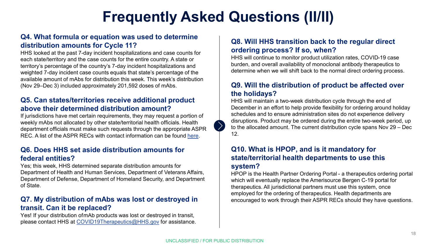# **Frequently Asked Questions (II/II)**

#### **Q4. What formula or equation was used to determine distribution amounts for Cycle 11?**

HHS looked at the past 7-day incident hospitalizations and case counts for each state/territory and the case counts for the entire country. A state or territory's percentage of the country's 7-day incident hospitalizations and weighted 7-day incident case counts equals that state's percentage of the available amount of mAbs for distribution this week. This week's distribution (Nov 29–Dec 3) included approximately 201,592 doses of mAbs.

#### **Q5. Can states/territories receive additional product above their determined distribution amount?**

If jurisdictions have met certain requirements, they may request a portion of weekly mAbs not allocated by other state/territorial health officials. Health department officials must make such requests through the appropriate ASPR REC. A list of the ASPR RECs with contact information can be found [here](https://www.phe.gov/Preparedness/responders/rec/Pages/default.aspx).

#### **Q6. Does HHS set aside distribution amounts for federal entities?**

Yes; this week, HHS determined separate distribution amounts for Department of Health and Human Services, Department of Veterans Affairs, Department of Defense, Department of Homeland Security, and Department of State.

#### **Q7. My distribution of mAbs was lost or destroyed in transit. Can it be replaced?**

Yes! If your distribution of mAb products was lost or destroyed in transit, please contact HHS at [COVID19Therapeutics@HHS.gov](mailto:COVID19Therapeutics@HHS.gov) for assistance.

#### **Q8. Will HHS transition back to the regular direct ordering process? If so, when?**

HHS will continue to monitor product utilization rates, COVID-19 case burden, and overall availability of monoclonal antibody therapeutics to determine when we will shift back to the normal direct ordering process.

#### **Q9. Will the distribution of product be affected over the holidays?**

HHS will maintain a two-week distribution cycle through the end of December in an effort to help provide flexibility for ordering around holiday schedules and to ensure administration sites do not experience delivery disruptions. Product may be ordered during the entire two-week period, up to the allocated amount. The current distribution cycle spans Nov 29 – Dec 12.

#### **Q10. What is HPOP, and is it mandatory for state/territorial health departments to use this system?**

HPOP is the Health Partner Ordering Portal - a therapeutics ordering portal which will eventually replace the Amerisource Bergen C-19 portal for therapeutics. All jurisdictional partners must use this system, once employed for the ordering of therapeutics. Health departments are encouraged to work through their ASPR RECs should they have questions.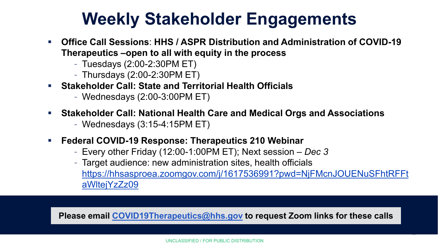# **Weekly Stakeholder Engagements**

- **Office Call Sessions**: **HHS / ASPR Distribution and Administration of COVID-19 Therapeutics –open to all with equity in the process** 
	- Tuesdays (2:00-2:30PM ET)
	- Thursdays (2:00-2:30PM ET)
- **Stakeholder Call: State and Territorial Health Officials**
	- Wednesdays (2:00-3:00PM ET)
- **Stakeholder Call: National Health Care and Medical Orgs and Associations**
	- Wednesdays (3:15-4:15PM ET)
- **Federal COVID-19 Response: Therapeutics 210 Webinar** 
	- Every other Friday (12:00-1:00PM ET); Next session *Dec 3*
	- Target audience: new administration sites, health officials [https://hhsasproea.zoomgov.com/j/1617536991?pwd=NjFMcnJOUENuSFhtRFFt](https://hhsasproea.zoomgov.com/j/1617536991?pwd=NjFMcnJOUENuSFhtRFFtaWltejYzZz09) aWltejYzZz09

19

**Please email [COVID19Therapeutics@hhs.gov](mailto:COVID-19Therapeutics@hhs.gov) to request Zoom links for these calls**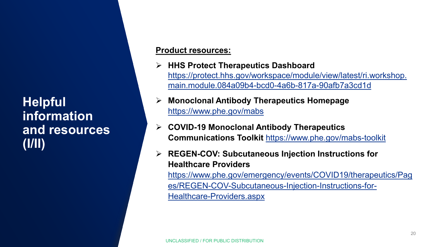**Helpful information and resources (I/II)**

#### **Product resources:**

- **HHS Protect Therapeutics Dashboard**  [https://protect.hhs.gov/workspace/module/view/latest/ri.workshop.](https://protect.hhs.gov/workspace/module/view/latest/ri.workshop.main.module.084a09b4-bcd0-4a6b-817a-90afb7a3cd1d) main.module.084a09b4-bcd0-4a6b-817a-90afb7a3cd1d
- **Monoclonal Antibody Therapeutics Homepage** <https://www.phe.gov/mabs>
- **COVID-19 Monoclonal Antibody Therapeutics Communications Toolkit** <https://www.phe.gov/mabs-toolkit>
- **REGEN-COV: Subcutaneous Injection Instructions for Healthcare Providers**  [https://www.phe.gov/emergency/events/COVID19/therapeutics/Pag](https://www.phe.gov/emergency/events/COVID19/therapeutics/Pages/REGEN-COV-Subcutaneous-Injection-Instructions-for-Healthcare-Providers.aspx) es/REGEN-COV-Subcutaneous-Injection-Instructions-for-Healthcare-Providers.aspx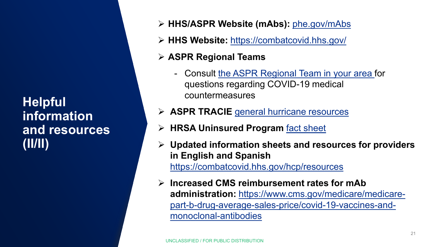**Helpful information and resources (II/II)**

- **HHS/ASPR Website (mAbs):** [phe.gov/mAbs](https://www.phe.gov/emergency/events/COVID19/therapeutics/Pages/default.aspx)
- **HHS Website:** <https://combatcovid.hhs.gov/>
- **ASPR Regional Teams**
	- Consult [the ASPR Regional Team in your area f](https://www.phe.gov/Preparedness/responders/rec/Pages/default.aspx)or questions regarding COVID-19 medical countermeasures
- **ASPR TRACIE** [general hurricane resources](https://asprtracie.hhs.gov/hurricane-resources)
- **HRSA Uninsured Program** [fact sheet](https://www.hhs.gov/sites/default/files/uninsured-patient-covid-services-poster.pdf)
- **Updated information sheets and resources for providers in English and Spanish**  <https://combatcovid.hhs.gov/hcp/resources>
- **Increased CMS reimbursement rates for mAb administration:** https://www.cms.gov/medicare/medicare[part-b-drug-average-sales-price/covid-19-vaccines-and](https://www.cms.gov/medicare/medicare-part-b-drug-average-sales-price/covid-19-vaccines-and-monoclonal-antibodies)monoclonal-antibodies